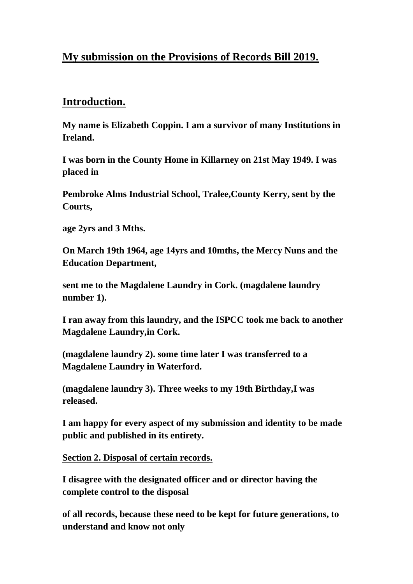## **My submission on the Provisions of Records Bill 2019.**

## **Introduction.**

**My name is Elizabeth Coppin. I am a survivor of many Institutions in Ireland.**

**I was born in the County Home in Killarney on 21st May 1949. I was placed in**

**Pembroke Alms Industrial School, Tralee,County Kerry, sent by the Courts,** 

**age 2yrs and 3 Mths.**

**On March 19th 1964, age 14yrs and 10mths, the Mercy Nuns and the Education Department,**

**sent me to the Magdalene Laundry in Cork. (magdalene laundry number 1).**

**I ran away from this laundry, and the ISPCC took me back to another Magdalene Laundry,in Cork.**

**(magdalene laundry 2). some time later I was transferred to a Magdalene Laundry in Waterford.** 

**(magdalene laundry 3). Three weeks to my 19th Birthday,I was released.** 

**I am happy for every aspect of my submission and identity to be made public and published in its entirety.**

**Section 2. Disposal of certain records.**

**I disagree with the designated officer and or director having the complete control to the disposal** 

**of all records, because these need to be kept for future generations, to understand and know not only**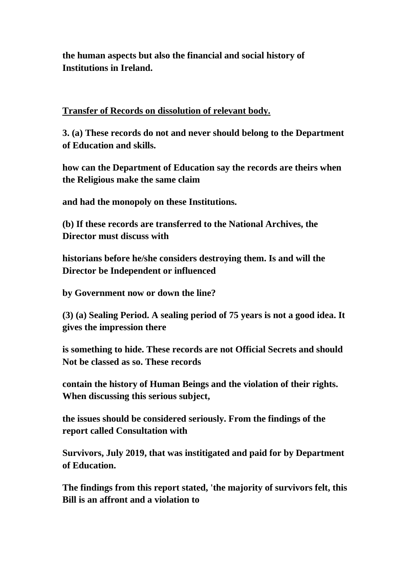**the human aspects but also the financial and social history of Institutions in Ireland.**

## **Transfer of Records on dissolution of relevant body.**

**3. (a) These records do not and never should belong to the Department of Education and skills.**

**how can the Department of Education say the records are theirs when the Religious make the same claim**

**and had the monopoly on these Institutions.**

**(b) If these records are transferred to the National Archives, the Director must discuss with** 

**historians before he/she considers destroying them. Is and will the Director be Independent or influenced**

**by Government now or down the line?**

**(3) (a) Sealing Period. A sealing period of 75 years is not a good idea. It gives the impression there**

**is something to hide. These records are not Official Secrets and should Not be classed as so. These records** 

**contain the history of Human Beings and the violation of their rights. When discussing this serious subject,**

**the issues should be considered seriously. From the findings of the report called Consultation with**

**Survivors, July 2019, that was institigated and paid for by Department of Education.**

**The findings from this report stated, 'the majority of survivors felt, this Bill is an affront and a violation to**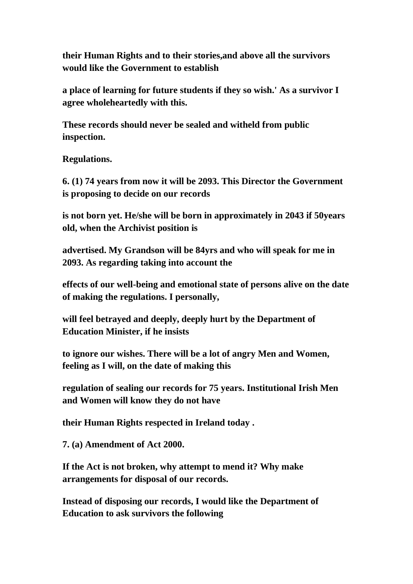**their Human Rights and to their stories,and above all the survivors would like the Government to establish**

**a place of learning for future students if they so wish.' As a survivor I agree wholeheartedly with this.**

**These records should never be sealed and witheld from public inspection.**

**Regulations.**

**6. (1) 74 years from now it will be 2093. This Director the Government is proposing to decide on our records**

**is not born yet. He/she will be born in approximately in 2043 if 50years old, when the Archivist position is**

**advertised. My Grandson will be 84yrs and who will speak for me in 2093. As regarding taking into account the**

**effects of our well-being and emotional state of persons alive on the date of making the regulations. I personally,**

**will feel betrayed and deeply, deeply hurt by the Department of Education Minister, if he insists**

**to ignore our wishes. There will be a lot of angry Men and Women, feeling as I will, on the date of making this**

**regulation of sealing our records for 75 years. Institutional Irish Men and Women will know they do not have**

**their Human Rights respected in Ireland today .**

**7. (a) Amendment of Act 2000.**

**If the Act is not broken, why attempt to mend it? Why make arrangements for disposal of our records.**

**Instead of disposing our records, I would like the Department of Education to ask survivors the following**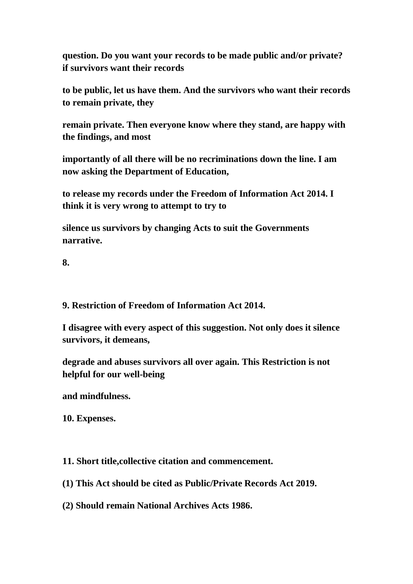**question. Do you want your records to be made public and/or private? if survivors want their records**

**to be public, let us have them. And the survivors who want their records to remain private, they**

**remain private. Then everyone know where they stand, are happy with the findings, and most** 

**importantly of all there will be no recriminations down the line. I am now asking the Department of Education,**

**to release my records under the Freedom of Information Act 2014. I think it is very wrong to attempt to try to**

**silence us survivors by changing Acts to suit the Governments narrative.** 

**8.** 

**9. Restriction of Freedom of Information Act 2014.**

**I disagree with every aspect of this suggestion. Not only does it silence survivors, it demeans,** 

**degrade and abuses survivors all over again. This Restriction is not helpful for our well-being**

**and mindfulness.**

**10. Expenses.**

**11. Short title,collective citation and commencement.**

**(1) This Act should be cited as Public/Private Records Act 2019.**

**(2) Should remain National Archives Acts 1986.**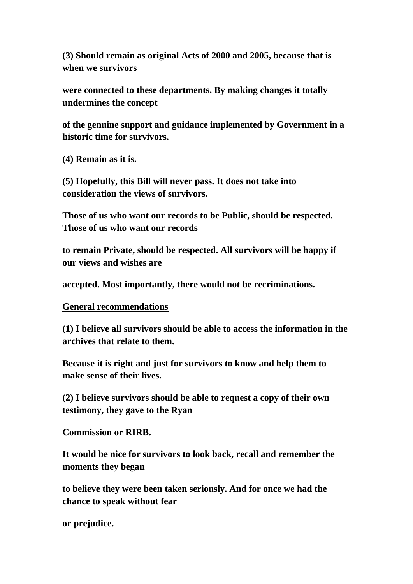**(3) Should remain as original Acts of 2000 and 2005, because that is when we survivors** 

**were connected to these departments. By making changes it totally undermines the concept**

**of the genuine support and guidance implemented by Government in a historic time for survivors.**

**(4) Remain as it is.**

**(5) Hopefully, this Bill will never pass. It does not take into consideration the views of survivors.**

**Those of us who want our records to be Public, should be respected. Those of us who want our records**

**to remain Private, should be respected. All survivors will be happy if our views and wishes are**

**accepted. Most importantly, there would not be recriminations.**

## **General recommendations**

**(1) I believe all survivors should be able to access the information in the archives that relate to them.**

**Because it is right and just for survivors to know and help them to make sense of their lives.**

**(2) I believe survivors should be able to request a copy of their own testimony, they gave to the Ryan**

**Commission or RIRB.**

**It would be nice for survivors to look back, recall and remember the moments they began**

**to believe they were been taken seriously. And for once we had the chance to speak without fear**

**or prejudice.**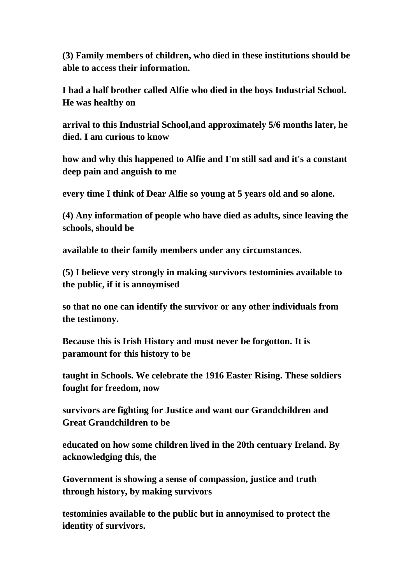**(3) Family members of children, who died in these institutions should be able to access their information.**

**I had a half brother called Alfie who died in the boys Industrial School. He was healthy on** 

**arrival to this Industrial School,and approximately 5/6 months later, he died. I am curious to know**

**how and why this happened to Alfie and I'm still sad and it's a constant deep pain and anguish to me**

**every time I think of Dear Alfie so young at 5 years old and so alone.** 

**(4) Any information of people who have died as adults, since leaving the schools, should be** 

**available to their family members under any circumstances.**

**(5) I believe very strongly in making survivors testominies available to the public, if it is annoymised**

**so that no one can identify the survivor or any other individuals from the testimony.**

**Because this is Irish History and must never be forgotton. It is paramount for this history to be**

**taught in Schools. We celebrate the 1916 Easter Rising. These soldiers fought for freedom, now**

**survivors are fighting for Justice and want our Grandchildren and Great Grandchildren to be**

**educated on how some children lived in the 20th centuary Ireland. By acknowledging this, the**

**Government is showing a sense of compassion, justice and truth through history, by making survivors**

**testominies available to the public but in annoymised to protect the identity of survivors.**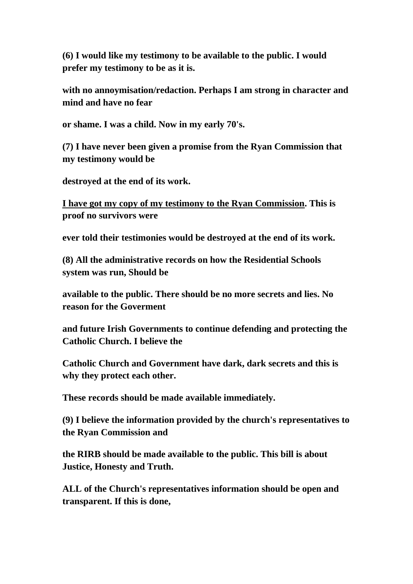**(6) I would like my testimony to be available to the public. I would prefer my testimony to be as it is.**

**with no annoymisation/redaction. Perhaps I am strong in character and mind and have no fear**

**or shame. I was a child. Now in my early 70's.**

**(7) I have never been given a promise from the Ryan Commission that my testimony would be**

**destroyed at the end of its work.** 

**I have got my copy of my testimony to the Ryan Commission. This is proof no survivors were** 

**ever told their testimonies would be destroyed at the end of its work.**

**(8) All the administrative records on how the Residential Schools system was run, Should be**

**available to the public. There should be no more secrets and lies. No reason for the Goverment**

**and future Irish Governments to continue defending and protecting the Catholic Church. I believe the**

**Catholic Church and Government have dark, dark secrets and this is why they protect each other.**

**These records should be made available immediately.** 

**(9) I believe the information provided by the church's representatives to the Ryan Commission and** 

**the RIRB should be made available to the public. This bill is about Justice, Honesty and Truth.**

**ALL of the Church's representatives information should be open and transparent. If this is done,**